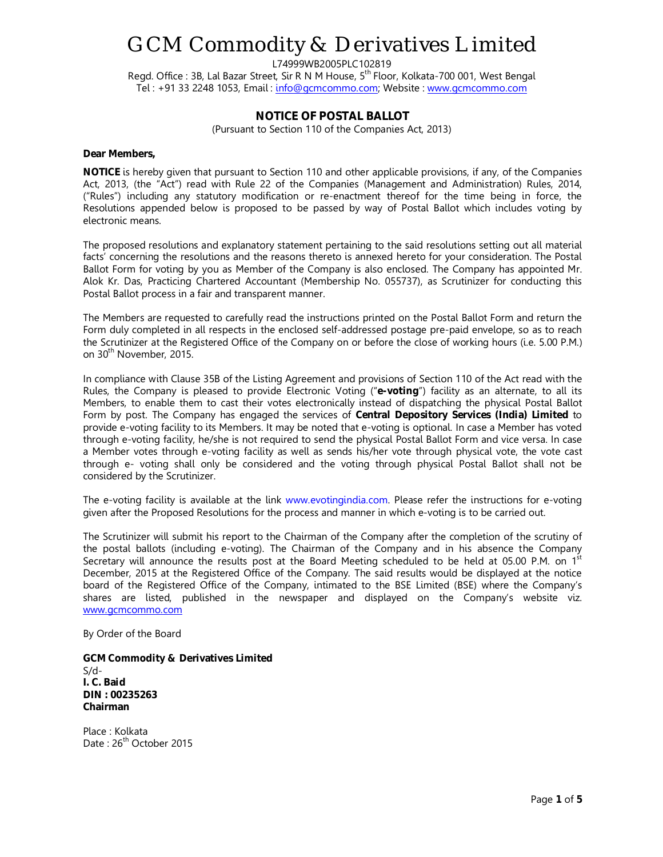## GCM Commodity & Derivatives Limited

L74999WB2005PLC102819

Regd. Office : 3B, Lal Bazar Street, Sir R N M House, 5<sup>th</sup> Floor, Kolkata-700 001, West Bengal Tel : +91 33 2248 1053, Email : info@gcmcommo.com; Website : www.gcmcommo.com

### **NOTICE OF POSTAL BALLOT**

(Pursuant to Section 110 of the Companies Act, 2013)

#### **Dear Members,**

**NOTICE** is hereby given that pursuant to Section 110 and other applicable provisions, if any, of the Companies Act, 2013, (the "Act") read with Rule 22 of the Companies (Management and Administration) Rules, 2014, ("Rules") including any statutory modification or re-enactment thereof for the time being in force, the Resolutions appended below is proposed to be passed by way of Postal Ballot which includes voting by electronic means.

The proposed resolutions and explanatory statement pertaining to the said resolutions setting out all material facts' concerning the resolutions and the reasons thereto is annexed hereto for your consideration. The Postal Ballot Form for voting by you as Member of the Company is also enclosed. The Company has appointed Mr. Alok Kr. Das, Practicing Chartered Accountant (Membership No. 055737), as Scrutinizer for conducting this Postal Ballot process in a fair and transparent manner.

The Members are requested to carefully read the instructions printed on the Postal Ballot Form and return the Form duly completed in all respects in the enclosed self-addressed postage pre-paid envelope, so as to reach the Scrutinizer at the Registered Office of the Company on or before the close of working hours (i.e. 5.00 P.M.) on 30<sup>th</sup> November, 2015.

In compliance with Clause 35B of the Listing Agreement and provisions of Section 110 of the Act read with the Rules, the Company is pleased to provide Electronic Voting ("**e-voting**") facility as an alternate, to all its Members, to enable them to cast their votes electronically instead of dispatching the physical Postal Ballot Form by post. The Company has engaged the services of **Central Depository Services (India) Limited** to provide e-voting facility to its Members. It may be noted that e-voting is optional. In case a Member has voted through e-voting facility, he/she is not required to send the physical Postal Ballot Form and vice versa. In case a Member votes through e-voting facility as well as sends his/her vote through physical vote, the vote cast through e- voting shall only be considered and the voting through physical Postal Ballot shall not be considered by the Scrutinizer.

The e-voting facility is available at the link www.evotingindia.com. Please refer the instructions for e-voting given after the Proposed Resolutions for the process and manner in which e-voting is to be carried out.

The Scrutinizer will submit his report to the Chairman of the Company after the completion of the scrutiny of the postal ballots (including e-voting). The Chairman of the Company and in his absence the Company Secretary will announce the results post at the Board Meeting scheduled to be held at 05.00 P.M. on  $1<sup>st</sup>$ December, 2015 at the Registered Office of the Company. The said results would be displayed at the notice board of the Registered Office of the Company, intimated to the BSE Limited (BSE) where the Company's shares are listed, published in the newspaper and displayed on the Company's website viz. www.gcmcommo.com

By Order of the Board

**GCM Commodity & Derivatives Limited**  S/d-**I. C. Baid DIN : 00235263 Chairman** 

Place : Kolkata Date: 26<sup>th</sup> October 2015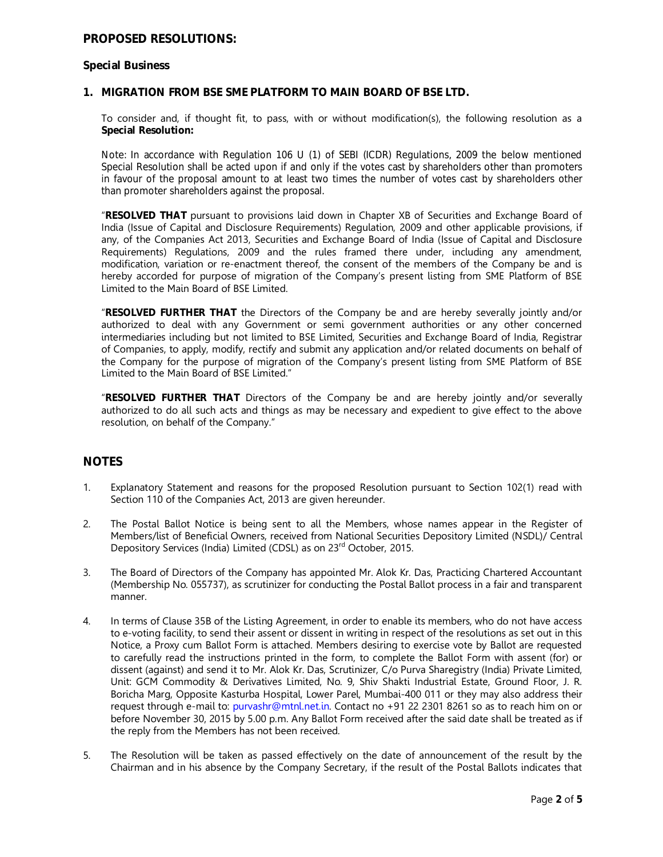## **PROPOSED RESOLUTIONS:**

#### **Special Business**

#### **1. MIGRATION FROM BSE SME PLATFORM TO MAIN BOARD OF BSE LTD.**

To consider and, if thought fit, to pass, with or without modification(s), the following resolution as a **Special Resolution:** 

*Note: In accordance with Regulation 106 U (1) of SEBI (ICDR) Regulations, 2009 the below mentioned Special Resolution shall be acted upon if and only if the votes cast by shareholders other than promoters in favour of the proposal amount to at least two times the number of votes cast by shareholders other than promoter shareholders against the proposal.* 

"**RESOLVED THAT** pursuant to provisions laid down in Chapter XB of Securities and Exchange Board of India (Issue of Capital and Disclosure Requirements) Regulation, 2009 and other applicable provisions, if any, of the Companies Act 2013, Securities and Exchange Board of India (Issue of Capital and Disclosure Requirements) Regulations, 2009 and the rules framed there under, including any amendment, modification, variation or re-enactment thereof, the consent of the members of the Company be and is hereby accorded for purpose of migration of the Company's present listing from SME Platform of BSE Limited to the Main Board of BSE Limited.

"**RESOLVED FURTHER THAT** the Directors of the Company be and are hereby severally jointly and/or authorized to deal with any Government or semi government authorities or any other concerned intermediaries including but not limited to BSE Limited, Securities and Exchange Board of India, Registrar of Companies, to apply, modify, rectify and submit any application and/or related documents on behalf of the Company for the purpose of migration of the Company's present listing from SME Platform of BSE Limited to the Main Board of BSE Limited."

"**RESOLVED FURTHER THAT** Directors of the Company be and are hereby jointly and/or severally authorized to do all such acts and things as may be necessary and expedient to give effect to the above resolution, on behalf of the Company."

### **NOTES**

- 1. Explanatory Statement and reasons for the proposed Resolution pursuant to Section 102(1) read with Section 110 of the Companies Act, 2013 are given hereunder.
- 2. The Postal Ballot Notice is being sent to all the Members, whose names appear in the Register of Members/list of Beneficial Owners, received from National Securities Depository Limited (NSDL)/ Central Depository Services (India) Limited (CDSL) as on 23<sup>rd</sup> October, 2015.
- 3. The Board of Directors of the Company has appointed Mr. Alok Kr. Das, Practicing Chartered Accountant (Membership No. 055737), as scrutinizer for conducting the Postal Ballot process in a fair and transparent manner.
- 4. In terms of Clause 35B of the Listing Agreement, in order to enable its members, who do not have access to e-voting facility, to send their assent or dissent in writing in respect of the resolutions as set out in this Notice, a Proxy cum Ballot Form is attached. Members desiring to exercise vote by Ballot are requested to carefully read the instructions printed in the form, to complete the Ballot Form with assent (for) or dissent (against) and send it to Mr. Alok Kr. Das, Scrutinizer, C/o Purva Sharegistry (India) Private Limited, Unit: GCM Commodity & Derivatives Limited, No. 9, Shiv Shakti Industrial Estate, Ground Floor, J. R. Boricha Marg, Opposite Kasturba Hospital, Lower Parel, Mumbai-400 011 or they may also address their request through e-mail to: purvashr@mtnl.net.in. Contact no +91 22 2301 8261 so as to reach him on or before November 30, 2015 by 5.00 p.m. Any Ballot Form received after the said date shall be treated as if the reply from the Members has not been received.
- 5. The Resolution will be taken as passed effectively on the date of announcement of the result by the Chairman and in his absence by the Company Secretary, if the result of the Postal Ballots indicates that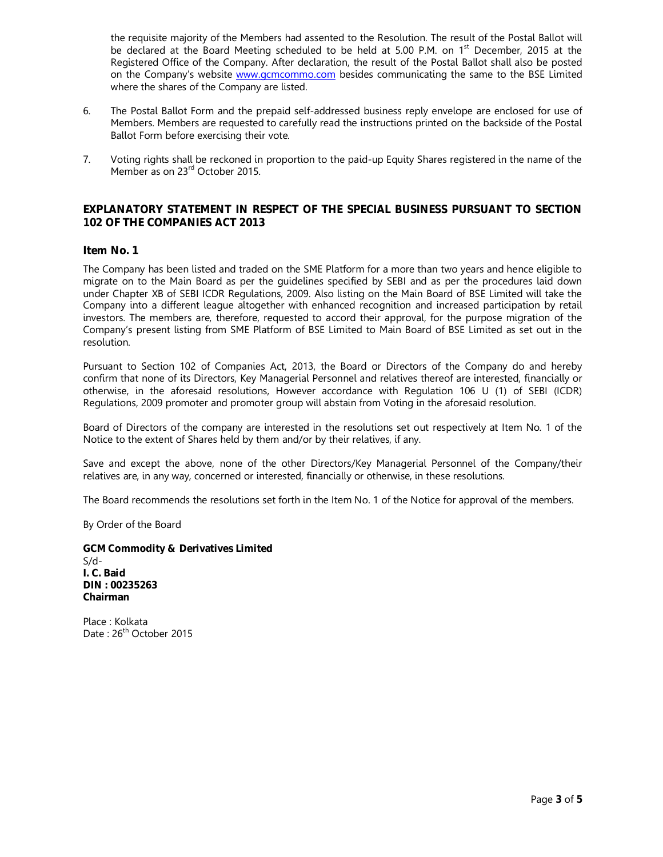the requisite majority of the Members had assented to the Resolution. The result of the Postal Ballot will be declared at the Board Meeting scheduled to be held at 5.00 P.M. on 1<sup>st</sup> December, 2015 at the Registered Office of the Company. After declaration, the result of the Postal Ballot shall also be posted on the Company's website www.gcmcommo.com besides communicating the same to the BSE Limited where the shares of the Company are listed.

- 6. The Postal Ballot Form and the prepaid self-addressed business reply envelope are enclosed for use of Members. Members are requested to carefully read the instructions printed on the backside of the Postal Ballot Form before exercising their vote.
- 7. Voting rights shall be reckoned in proportion to the paid-up Equity Shares registered in the name of the Member as on 23<sup>rd</sup> October 2015.

#### **EXPLANATORY STATEMENT IN RESPECT OF THE SPECIAL BUSINESS PURSUANT TO SECTION 102 OF THE COMPANIES ACT 2013**

#### **Item No. 1**

The Company has been listed and traded on the SME Platform for a more than two years and hence eligible to migrate on to the Main Board as per the guidelines specified by SEBI and as per the procedures laid down under Chapter XB of SEBI ICDR Regulations, 2009. Also listing on the Main Board of BSE Limited will take the Company into a different league altogether with enhanced recognition and increased participation by retail investors. The members are, therefore, requested to accord their approval, for the purpose migration of the Company's present listing from SME Platform of BSE Limited to Main Board of BSE Limited as set out in the resolution.

Pursuant to Section 102 of Companies Act, 2013, the Board or Directors of the Company do and hereby confirm that none of its Directors, Key Managerial Personnel and relatives thereof are interested, financially or otherwise, in the aforesaid resolutions, However accordance with Regulation 106 U (1) of SEBI (ICDR) Regulations, 2009 promoter and promoter group will abstain from Voting in the aforesaid resolution.

Board of Directors of the company are interested in the resolutions set out respectively at Item No. 1 of the Notice to the extent of Shares held by them and/or by their relatives, if any.

Save and except the above, none of the other Directors/Key Managerial Personnel of the Company/their relatives are, in any way, concerned or interested, financially or otherwise, in these resolutions.

The Board recommends the resolutions set forth in the Item No. 1 of the Notice for approval of the members.

By Order of the Board

**GCM Commodity & Derivatives Limited**  S/d-**I. C. Baid DIN : 00235263 Chairman** 

Place : Kolkata Date: 26<sup>th</sup> October 2015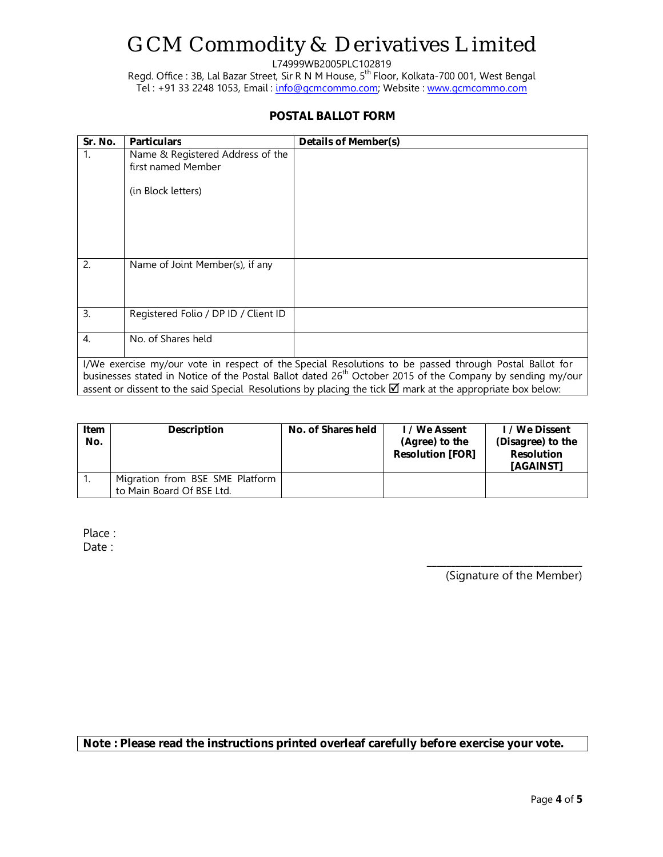# GCM Commodity & Derivatives Limited

L74999WB2005PLC102819

Regd. Office : 3B, Lal Bazar Street, Sir R N M House, 5<sup>th</sup> Floor, Kolkata-700 001, West Bengal Tel : +91 33 2248 1053, Email : info@gcmcommo.com; Website : www.gcmcommo.com

## **POSTAL BALLOT FORM**

| Sr. No.                                                                                                                                                                                                                                                                                                                                                 | <b>Particulars</b>                   | Details of Member(s) |  |  |  |
|---------------------------------------------------------------------------------------------------------------------------------------------------------------------------------------------------------------------------------------------------------------------------------------------------------------------------------------------------------|--------------------------------------|----------------------|--|--|--|
| 1.                                                                                                                                                                                                                                                                                                                                                      | Name & Registered Address of the     |                      |  |  |  |
|                                                                                                                                                                                                                                                                                                                                                         | first named Member                   |                      |  |  |  |
|                                                                                                                                                                                                                                                                                                                                                         | (in Block letters)                   |                      |  |  |  |
|                                                                                                                                                                                                                                                                                                                                                         |                                      |                      |  |  |  |
| 2.                                                                                                                                                                                                                                                                                                                                                      | Name of Joint Member(s), if any      |                      |  |  |  |
| $\overline{3}$ .                                                                                                                                                                                                                                                                                                                                        | Registered Folio / DP ID / Client ID |                      |  |  |  |
| 4.                                                                                                                                                                                                                                                                                                                                                      | No. of Shares held                   |                      |  |  |  |
| I/We exercise my/our vote in respect of the Special Resolutions to be passed through Postal Ballot for<br>businesses stated in Notice of the Postal Ballot dated 26 <sup>th</sup> October 2015 of the Company by sending my/our<br>assent or dissent to the said Special Resolutions by placing the tick $\boxtimes$ mark at the appropriate box below: |                                      |                      |  |  |  |
|                                                                                                                                                                                                                                                                                                                                                         |                                      |                      |  |  |  |

| Item<br>No. | <b>Description</b>                                           | No. of Shares held | I / We Assent<br>(Agree) to the<br><b>Resolution [FOR]</b> | I / We Dissent<br>(Disagree) to the<br><b>Resolution</b><br>[AGAINST] |
|-------------|--------------------------------------------------------------|--------------------|------------------------------------------------------------|-----------------------------------------------------------------------|
|             | Migration from BSE SME Platform<br>to Main Board Of BSE Ltd. |                    |                                                            |                                                                       |

Place : Date :

> \_\_\_\_\_\_\_\_\_\_\_\_\_\_\_\_\_\_\_\_\_\_\_\_\_\_\_\_\_\_\_\_ (Signature of the Member)

**Note : Please read the instructions printed overleaf carefully before exercise your vote.**